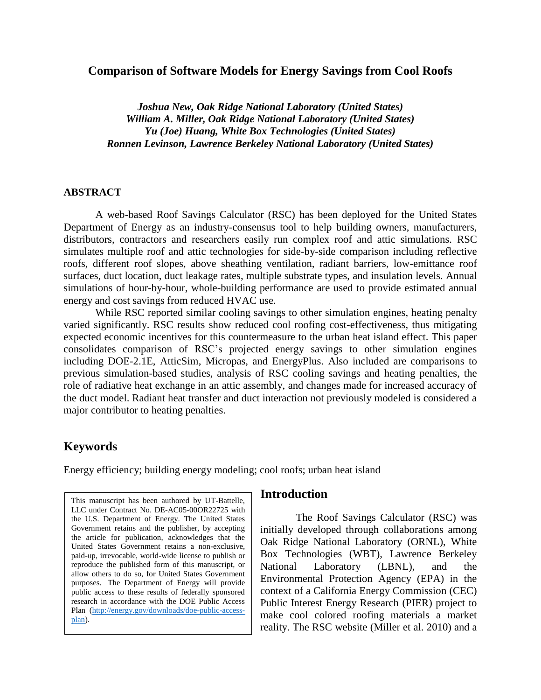# **Comparison of Software Models for Energy Savings from Cool Roofs**

*Joshua New, Oak Ridge National Laboratory (United States) William A. Miller, Oak Ridge National Laboratory (United States) Yu (Joe) Huang, White Box Technologies (United States) Ronnen Levinson, Lawrence Berkeley National Laboratory (United States)*

## **ABSTRACT**

A web-based Roof Savings Calculator (RSC) has been deployed for the United States Department of Energy as an industry-consensus tool to help building owners, manufacturers, distributors, contractors and researchers easily run complex roof and attic simulations. RSC simulates multiple roof and attic technologies for side-by-side comparison including reflective roofs, different roof slopes, above sheathing ventilation, radiant barriers, low-emittance roof surfaces, duct location, duct leakage rates, multiple substrate types, and insulation levels. Annual simulations of hour-by-hour, whole-building performance are used to provide estimated annual energy and cost savings from reduced HVAC use.

While RSC reported similar cooling savings to other simulation engines, heating penalty varied significantly. RSC results show reduced cool roofing cost-effectiveness, thus mitigating expected economic incentives for this countermeasure to the urban heat island effect. This paper consolidates comparison of RSC's projected energy savings to other simulation engines including DOE-2.1E, AtticSim, Micropas, and EnergyPlus. Also included are comparisons to previous simulation-based studies, analysis of RSC cooling savings and heating penalties, the role of radiative heat exchange in an attic assembly, and changes made for increased accuracy of the duct model. Radiant heat transfer and duct interaction not previously modeled is considered a major contributor to heating penalties.

# **Keywords**

Energy efficiency; building energy modeling; cool roofs; urban heat island

This manuscript has been authored by UT-Battelle, LLC under Contract No. DE-AC05-00OR22725 with the U.S. Department of Energy. The United States Government retains and the publisher, by accepting the article for publication, acknowledges that the United States Government retains a non-exclusive, paid-up, irrevocable, world-wide license to publish or reproduce the published form of this manuscript, or allow others to do so, for United States Government purposes. The Department of Energy will provide public access to these results of federally sponsored research in accordance with the DOE Public Access Plan [\(http://energy.gov/downloads/doe-public-access](http://energy.gov/downloads/doe-public-access-plan)[plan\)](http://energy.gov/downloads/doe-public-access-plan).

## **Introduction**

The Roof Savings Calculator (RSC) was initially developed through collaborations among Oak Ridge National Laboratory (ORNL), White Box Technologies (WBT), Lawrence Berkeley National Laboratory (LBNL), and the Environmental Protection Agency (EPA) in the context of a California Energy Commission (CEC) Public Interest Energy Research (PIER) project to make cool colored roofing materials a market reality. The RSC website (Miller et al. 2010) and a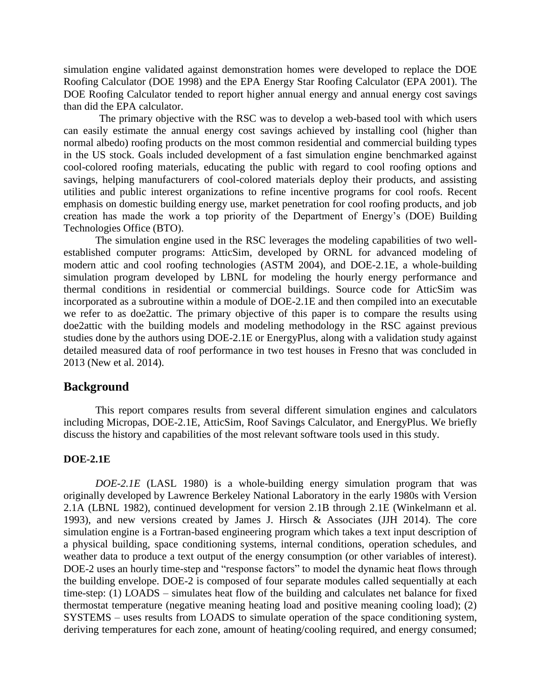simulation engine validated against demonstration homes were developed to replace the DOE Roofing Calculator (DOE 1998) and the EPA Energy Star Roofing Calculator (EPA 2001). The DOE Roofing Calculator tended to report higher annual energy and annual energy cost savings than did the EPA calculator.

The primary objective with the RSC was to develop a web-based tool with which users can easily estimate the annual energy cost savings achieved by installing cool (higher than normal albedo) roofing products on the most common residential and commercial building types in the US stock. Goals included development of a fast simulation engine benchmarked against cool-colored roofing materials, educating the public with regard to cool roofing options and savings, helping manufacturers of cool-colored materials deploy their products, and assisting utilities and public interest organizations to refine incentive programs for cool roofs. Recent emphasis on domestic building energy use, market penetration for cool roofing products, and job creation has made the work a top priority of the Department of Energy's (DOE) Building Technologies Office (BTO).

The simulation engine used in the RSC leverages the modeling capabilities of two wellestablished computer programs: AtticSim, developed by ORNL for advanced modeling of modern attic and cool roofing technologies (ASTM 2004), and DOE-2.1E, a whole-building simulation program developed by LBNL for modeling the hourly energy performance and thermal conditions in residential or commercial buildings. Source code for AtticSim was incorporated as a subroutine within a module of DOE-2.1E and then compiled into an executable we refer to as doe2attic. The primary objective of this paper is to compare the results using doe2attic with the building models and modeling methodology in the RSC against previous studies done by the authors using DOE-2.1E or EnergyPlus, along with a validation study against detailed measured data of roof performance in two test houses in Fresno that was concluded in 2013 (New et al. 2014).

## **Background**

This report compares results from several different simulation engines and calculators including Micropas, DOE-2.1E, AtticSim, Roof Savings Calculator, and EnergyPlus. We briefly discuss the history and capabilities of the most relevant software tools used in this study.

### **DOE-2.1E**

*DOE-2.1E* (LASL 1980) is a whole-building energy simulation program that was originally developed by Lawrence Berkeley National Laboratory in the early 1980s with Version 2.1A (LBNL 1982), continued development for version 2.1B through 2.1E (Winkelmann et al. 1993), and new versions created by James J. Hirsch & Associates (JJH 2014). The core simulation engine is a Fortran-based engineering program which takes a text input description of a physical building, space conditioning systems, internal conditions, operation schedules, and weather data to produce a text output of the energy consumption (or other variables of interest). DOE-2 uses an hourly time-step and "response factors" to model the dynamic heat flows through the building envelope. DOE-2 is composed of four separate modules called sequentially at each time-step: (1) LOADS – simulates heat flow of the building and calculates net balance for fixed thermostat temperature (negative meaning heating load and positive meaning cooling load); (2) SYSTEMS – uses results from LOADS to simulate operation of the space conditioning system, deriving temperatures for each zone, amount of heating/cooling required, and energy consumed;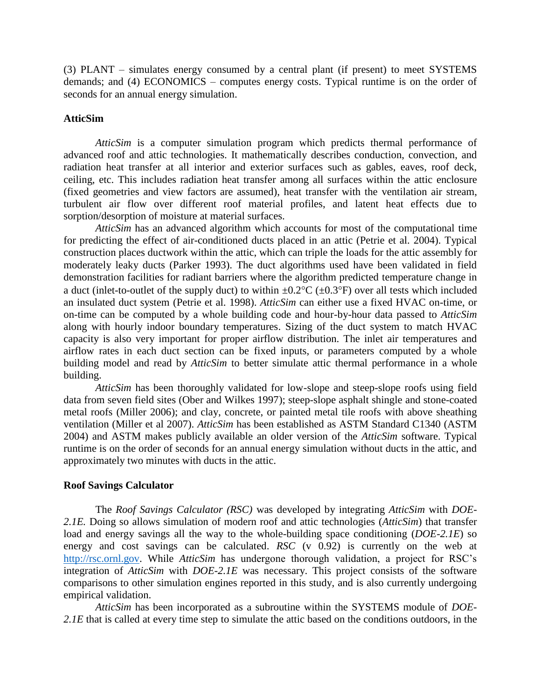(3) PLANT – simulates energy consumed by a central plant (if present) to meet SYSTEMS demands; and (4) ECONOMICS – computes energy costs. Typical runtime is on the order of seconds for an annual energy simulation.

## **AtticSim**

*AtticSim* is a computer simulation program which predicts thermal performance of advanced roof and attic technologies. It mathematically describes conduction, convection, and radiation heat transfer at all interior and exterior surfaces such as gables, eaves, roof deck, ceiling, etc. This includes radiation heat transfer among all surfaces within the attic enclosure (fixed geometries and view factors are assumed), heat transfer with the ventilation air stream, turbulent air flow over different roof material profiles, and latent heat effects due to sorption/desorption of moisture at material surfaces.

*AtticSim* has an advanced algorithm which accounts for most of the computational time for predicting the effect of air-conditioned ducts placed in an attic (Petrie et al. 2004). Typical construction places ductwork within the attic, which can triple the loads for the attic assembly for moderately leaky ducts (Parker 1993). The duct algorithms used have been validated in field demonstration facilities for radiant barriers where the algorithm predicted temperature change in a duct (inlet-to-outlet of the supply duct) to within  $\pm 0.2^{\circ}C$  ( $\pm 0.3^{\circ}F$ ) over all tests which included an insulated duct system (Petrie et al. 1998). *AtticSim* can either use a fixed HVAC on-time, or on-time can be computed by a whole building code and hour-by-hour data passed to *AtticSim* along with hourly indoor boundary temperatures. Sizing of the duct system to match HVAC capacity is also very important for proper airflow distribution. The inlet air temperatures and airflow rates in each duct section can be fixed inputs, or parameters computed by a whole building model and read by *AtticSim* to better simulate attic thermal performance in a whole building.

*AtticSim* has been thoroughly validated for low-slope and steep-slope roofs using field data from seven field sites (Ober and Wilkes 1997); steep-slope asphalt shingle and stone-coated metal roofs (Miller 2006); and clay, concrete, or painted metal tile roofs with above sheathing ventilation (Miller et al 2007). *AtticSim* has been established as ASTM Standard C1340 (ASTM 2004) and ASTM makes publicly available an older version of the *AtticSim* software. Typical runtime is on the order of seconds for an annual energy simulation without ducts in the attic, and approximately two minutes with ducts in the attic.

#### **Roof Savings Calculator**

The *Roof Savings Calculator (RSC)* was developed by integrating *AtticSim* with *DOE-2.1E.* Doing so allows simulation of modern roof and attic technologies (*AtticSim*) that transfer load and energy savings all the way to the whole-building space conditioning (*DOE-2.1E*) so energy and cost savings can be calculated. *RSC* (v 0.92) is currently on the web at [http://rsc.ornl.gov.](http://rsc.ornl.gov/) While *AtticSim* has undergone thorough validation, a project for RSC's integration of *AtticSim* with *DOE-2.1E* was necessary. This project consists of the software comparisons to other simulation engines reported in this study, and is also currently undergoing empirical validation.

*AtticSim* has been incorporated as a subroutine within the SYSTEMS module of *DOE-*2.1E that is called at every time step to simulate the attic based on the conditions outdoors, in the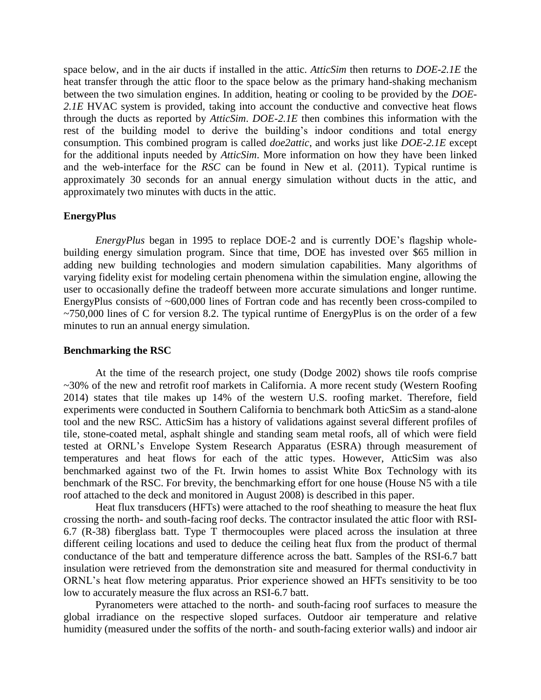space below, and in the air ducts if installed in the attic. *AtticSim* then returns to *DOE-2.1E* the heat transfer through the attic floor to the space below as the primary hand-shaking mechanism between the two simulation engines. In addition, heating or cooling to be provided by the *DOE-2.1E* HVAC system is provided, taking into account the conductive and convective heat flows through the ducts as reported by *AtticSim*. *DOE-2.1E* then combines this information with the rest of the building model to derive the building's indoor conditions and total energy consumption. This combined program is called *doe2attic*, and works just like *DOE-2.1E* except for the additional inputs needed by *AtticSim*. More information on how they have been linked and the web-interface for the *RSC* can be found in New et al. (2011). Typical runtime is approximately 30 seconds for an annual energy simulation without ducts in the attic, and approximately two minutes with ducts in the attic.

#### **EnergyPlus**

*EnergyPlus* began in 1995 to replace DOE-2 and is currently DOE's flagship wholebuilding energy simulation program. Since that time, DOE has invested over \$65 million in adding new building technologies and modern simulation capabilities. Many algorithms of varying fidelity exist for modeling certain phenomena within the simulation engine, allowing the user to occasionally define the tradeoff between more accurate simulations and longer runtime. EnergyPlus consists of ~600,000 lines of Fortran code and has recently been cross-compiled to  $\sim$ 750,000 lines of C for version 8.2. The typical runtime of EnergyPlus is on the order of a few minutes to run an annual energy simulation.

#### **Benchmarking the RSC**

At the time of the research project, one study (Dodge 2002) shows tile roofs comprise ~30% of the new and retrofit roof markets in California. A more recent study (Western Roofing 2014) states that tile makes up 14% of the western U.S. roofing market. Therefore, field experiments were conducted in Southern California to benchmark both AtticSim as a stand-alone tool and the new RSC. AtticSim has a history of validations against several different profiles of tile, stone-coated metal, asphalt shingle and standing seam metal roofs, all of which were field tested at ORNL's Envelope System Research Apparatus (ESRA) through measurement of temperatures and heat flows for each of the attic types. However, AtticSim was also benchmarked against two of the Ft. Irwin homes to assist White Box Technology with its benchmark of the RSC. For brevity, the benchmarking effort for one house (House N5 with a tile roof attached to the deck and monitored in August 2008) is described in this paper.

Heat flux transducers (HFTs) were attached to the roof sheathing to measure the heat flux crossing the north- and south-facing roof decks. The contractor insulated the attic floor with RSI-6.7 (R-38) fiberglass batt. Type T thermocouples were placed across the insulation at three different ceiling locations and used to deduce the ceiling heat flux from the product of thermal conductance of the batt and temperature difference across the batt. Samples of the RSI-6.7 batt insulation were retrieved from the demonstration site and measured for thermal conductivity in ORNL's heat flow metering apparatus. Prior experience showed an HFTs sensitivity to be too low to accurately measure the flux across an RSI-6.7 batt.

Pyranometers were attached to the north- and south-facing roof surfaces to measure the global irradiance on the respective sloped surfaces. Outdoor air temperature and relative humidity (measured under the soffits of the north- and south-facing exterior walls) and indoor air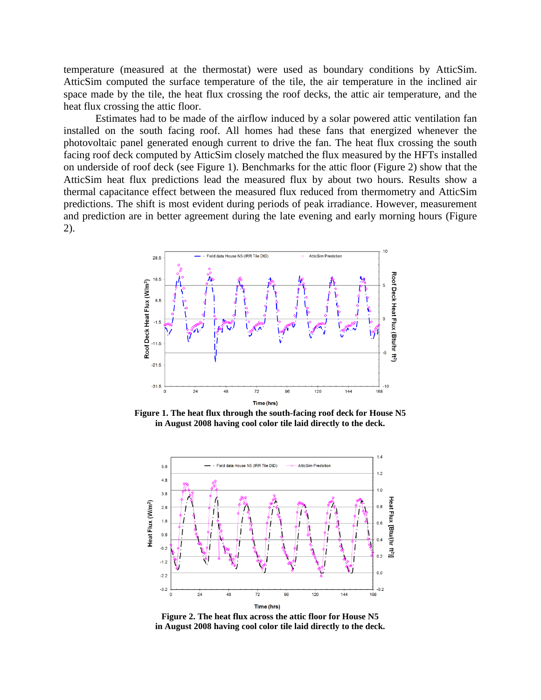temperature (measured at the thermostat) were used as boundary conditions by AtticSim. AtticSim computed the surface temperature of the tile, the air temperature in the inclined air space made by the tile, the heat flux crossing the roof decks, the attic air temperature, and the heat flux crossing the attic floor.

Estimates had to be made of the airflow induced by a solar powered attic ventilation fan installed on the south facing roof. All homes had these fans that energized whenever the photovoltaic panel generated enough current to drive the fan. The heat flux crossing the south facing roof deck computed by AtticSim closely matched the flux measured by the HFTs installed on underside of roof deck (see [Figure 1\)](#page-4-0). Benchmarks for the attic floor [\(Figure 2\)](#page-4-1) show that the AtticSim heat flux predictions lead the measured flux by about two hours. Results show a thermal capacitance effect between the measured flux reduced from thermometry and AtticSim predictions. The shift is most evident during periods of peak irradiance. However, measurement and prediction are in better agreement during the late evening and early morning hours [\(Figure](#page-4-1)  [2\)](#page-4-1).



<span id="page-4-0"></span>**Figure 1. The heat flux through the south-facing roof deck for House N5 in August 2008 having cool color tile laid directly to the deck.**



<span id="page-4-1"></span>**Figure 2. The heat flux across the attic floor for House N5 in August 2008 having cool color tile laid directly to the deck.**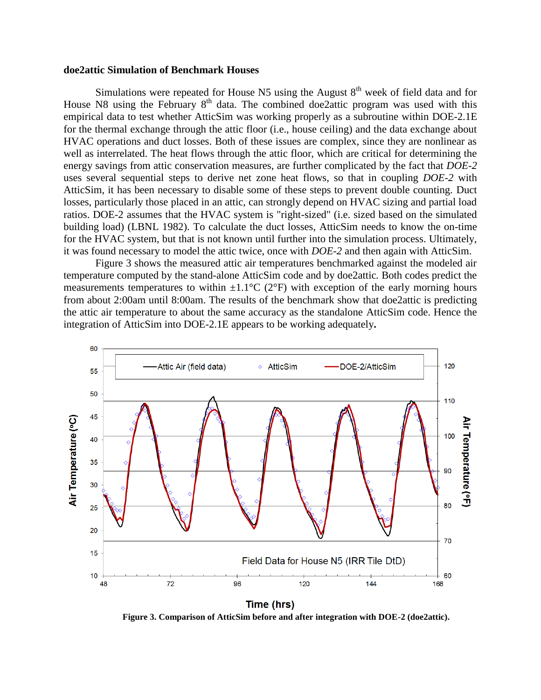#### **doe2attic Simulation of Benchmark Houses**

Simulations were repeated for House N5 using the August  $8<sup>th</sup>$  week of field data and for House N8 using the February  $8<sup>th</sup>$  data. The combined doe2attic program was used with this empirical data to test whether AtticSim was working properly as a subroutine within DOE-2.1E for the thermal exchange through the attic floor (i.e., house ceiling) and the data exchange about HVAC operations and duct losses. Both of these issues are complex, since they are nonlinear as well as interrelated. The heat flows through the attic floor, which are critical for determining the energy savings from attic conservation measures, are further complicated by the fact that *DOE-2* uses several sequential steps to derive net zone heat flows, so that in coupling *DOE-2* with AtticSim, it has been necessary to disable some of these steps to prevent double counting. Duct losses, particularly those placed in an attic, can strongly depend on HVAC sizing and partial load ratios. DOE-2 assumes that the HVAC system is "right-sized" (i.e. sized based on the simulated building load) (LBNL 1982). To calculate the duct losses, AtticSim needs to know the on-time for the HVAC system, but that is not known until further into the simulation process. Ultimately, it was found necessary to model the attic twice, once with *DOE-2* and then again with AtticSim.

[Figure 3](#page-5-0) shows the measured attic air temperatures benchmarked against the modeled air temperature computed by the stand-alone AtticSim code and by doe2attic*.* Both codes predict the measurements temperatures to within  $\pm 1.1^{\circ}C$  (2°F) with exception of the early morning hours from about 2:00am until 8:00am. The results of the benchmark show that doe2attic is predicting the attic air temperature to about the same accuracy as the standalone AtticSim code. Hence the integration of AtticSim into DOE-2.1E appears to be working adequately**.**



<span id="page-5-0"></span>**Figure 3. Comparison of AtticSim before and after integration with DOE-2 (doe2attic).**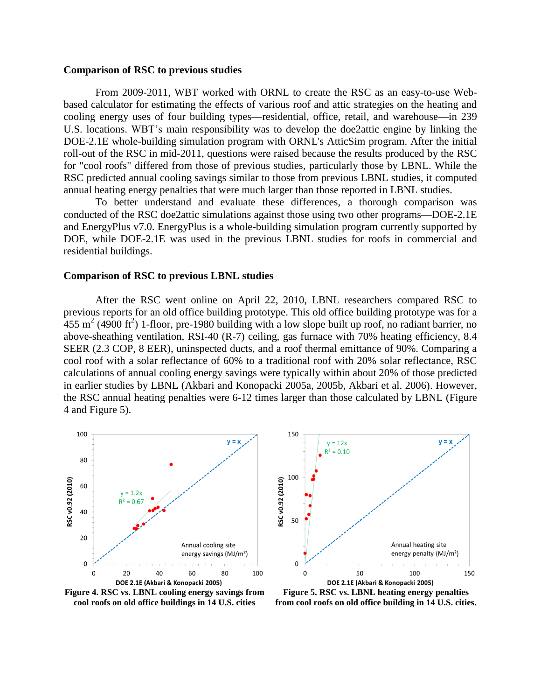#### **Comparison of RSC to previous studies**

From 2009-2011, WBT worked with ORNL to create the RSC as an easy-to-use Webbased calculator for estimating the effects of various roof and attic strategies on the heating and cooling energy uses of four building types—residential, office, retail, and warehouse—in 239 U.S. locations. WBT's main responsibility was to develop the doe2attic engine by linking the DOE-2.1E whole-building simulation program with ORNL's AtticSim program. After the initial roll-out of the RSC in mid-2011, questions were raised because the results produced by the RSC for "cool roofs" differed from those of previous studies, particularly those by LBNL. While the RSC predicted annual cooling savings similar to those from previous LBNL studies, it computed annual heating energy penalties that were much larger than those reported in LBNL studies.

To better understand and evaluate these differences, a thorough comparison was conducted of the RSC doe2attic simulations against those using two other programs—DOE-2.1E and EnergyPlus v7.0. EnergyPlus is a whole-building simulation program currently supported by DOE, while DOE-2.1E was used in the previous LBNL studies for roofs in commercial and residential buildings.

#### **Comparison of RSC to previous LBNL studies**

After the RSC went online on April 22, 2010, LBNL researchers compared RSC to previous reports for an old office building prototype. This old office building prototype was for a  $455 \text{ m}^2$  (4900 ft<sup>2</sup>) 1-floor, pre-1980 building with a low slope built up roof, no radiant barrier, no above-sheathing ventilation, RSI-40 (R-7) ceiling, gas furnace with 70% heating efficiency, 8.4 SEER (2.3 COP, 8 EER), uninspected ducts, and a roof thermal emittance of 90%. Comparing a cool roof with a solar reflectance of 60% to a traditional roof with 20% solar reflectance, RSC calculations of annual cooling energy savings were typically within about 20% of those predicted in earlier studies by LBNL (Akbari and Konopacki 2005a, 2005b, Akbari et al. 2006). However, the RSC annual heating penalties were 6-12 times larger than those calculated by LBNL [\(Figure](#page-6-0)  [4](#page-6-0) and [Figure 5\)](#page-6-1).



150  $v = x$  $y = 12x$  $R^2 = 0.10$ 100 85C v0.92 (2010) 50 Annual heating site energy penalty (MJ/m<sup>2</sup>)  $\mathbf 0$  $\Omega$ 50 100 150 DOE 2.1E (Akbari & Konopacki 2005)

<span id="page-6-0"></span>**Figure 4. RSC vs. LBNL cooling energy savings from cool roofs on old office buildings in 14 U.S. cities**

<span id="page-6-1"></span>**Figure 5. RSC vs. LBNL heating energy penalties from cool roofs on old office building in 14 U.S. cities.**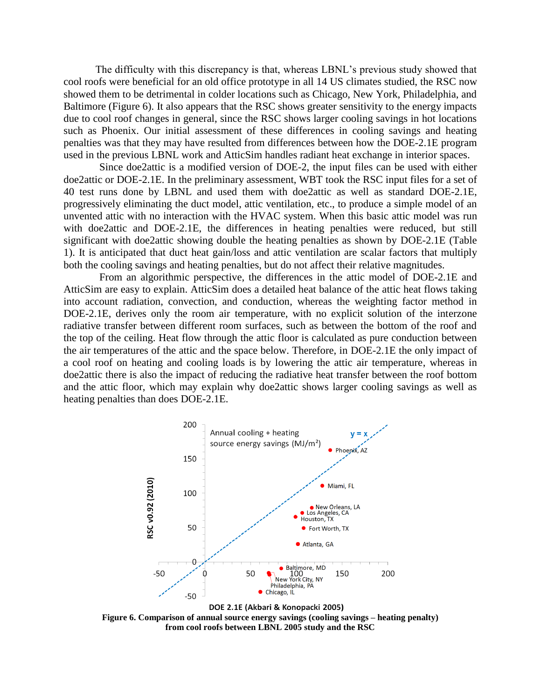The difficulty with this discrepancy is that, whereas LBNL's previous study showed that cool roofs were beneficial for an old office prototype in all 14 US climates studied, the RSC now showed them to be detrimental in colder locations such as Chicago, New York, Philadelphia, and Baltimore [\(Figure 6\)](#page-7-0). It also appears that the RSC shows greater sensitivity to the energy impacts due to cool roof changes in general, since the RSC shows larger cooling savings in hot locations such as Phoenix. Our initial assessment of these differences in cooling savings and heating penalties was that they may have resulted from differences between how the DOE-2.1E program used in the previous LBNL work and AtticSim handles radiant heat exchange in interior spaces.

Since doe2attic is a modified version of DOE-2, the input files can be used with either doe2attic or DOE-2.1E. In the preliminary assessment, WBT took the RSC input files for a set of 40 test runs done by LBNL and used them with doe2attic as well as standard DOE-2.1E, progressively eliminating the duct model, attic ventilation, etc., to produce a simple model of an unvented attic with no interaction with the HVAC system. When this basic attic model was run with doe2attic and DOE-2.1E, the differences in heating penalties were reduced, but still significant with doe2attic showing double the heating penalties as shown by DOE-2.1E [\(Table](#page-8-0)  [1\)](#page-8-0). It is anticipated that duct heat gain/loss and attic ventilation are scalar factors that multiply both the cooling savings and heating penalties, but do not affect their relative magnitudes.

From an algorithmic perspective, the differences in the attic model of DOE-2.1E and AtticSim are easy to explain. AtticSim does a detailed heat balance of the attic heat flows taking into account radiation, convection, and conduction, whereas the weighting factor method in DOE-2.1E, derives only the room air temperature, with no explicit solution of the interzone radiative transfer between different room surfaces, such as between the bottom of the roof and the top of the ceiling. Heat flow through the attic floor is calculated as pure conduction between the air temperatures of the attic and the space below. Therefore, in DOE-2.1E the only impact of a cool roof on heating and cooling loads is by lowering the attic air temperature, whereas in doe2attic there is also the impact of reducing the radiative heat transfer between the roof bottom and the attic floor, which may explain why doe2attic shows larger cooling savings as well as heating penalties than does DOE-2.1E.



<span id="page-7-0"></span>**Figure 6. Comparison of annual source energy savings (cooling savings – heating penalty) from cool roofs between LBNL 2005 study and the RSC**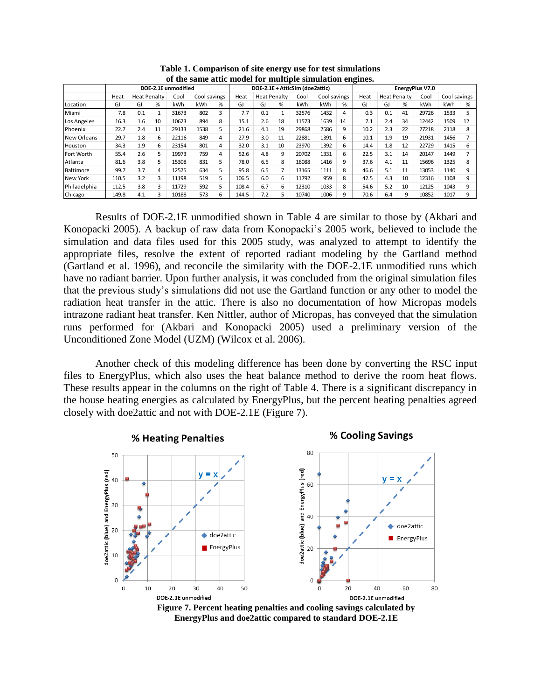<span id="page-8-0"></span>

|                    |                     |                     |    |       |              | of the same attic model for manaphe simulation engines. |                                 |                     |    |       |              |    |                 |                     |    |       |              |    |  |
|--------------------|---------------------|---------------------|----|-------|--------------|---------------------------------------------------------|---------------------------------|---------------------|----|-------|--------------|----|-----------------|---------------------|----|-------|--------------|----|--|
|                    | DOE-2.1E unmodified |                     |    |       |              |                                                         | DOE-2.1E + AtticSim (doe2attic) |                     |    |       |              |    | EnergyPlus V7.0 |                     |    |       |              |    |  |
|                    | Heat                | <b>Heat Penalty</b> |    | Cool  | Cool savings |                                                         | Heat                            | <b>Heat Penalty</b> |    | Cool  | Cool savings |    | Heat            | <b>Heat Penalty</b> |    | Cool  | Cool savings |    |  |
| Location           | GJ                  | GJ                  | %  | kWh   | kWh          | %                                                       | GJ                              | GJ                  | %  | kWh   | kWh          | %  | GJ              | GJ                  | %  | kWh   | kWh          | ℅  |  |
| Miami              | 7.8                 | 0.1                 |    | 31673 | 802          | 3                                                       | 7.7                             | 0.1                 |    | 32576 | 1432         | 4  | 0.3             | 0.1                 | 41 | 29726 | 1533         |    |  |
| Los Angeles        | 16.3                | 1.6                 | 10 | 10623 | 894          | 8                                                       | 15.1                            | 2.6                 | 18 | 11573 | 1639         | 14 | 7.1             | 2.4                 | 34 | 12442 | 1509         | 12 |  |
| Phoenix            | 22.7                | 2.4                 | 11 | 29133 | 1538         | 5.                                                      | 21.6                            | 4.1                 | 19 | 29868 | 2586         | 9  | 10.2            | 2.3                 | 22 | 27218 | 2118         |    |  |
| <b>New Orleans</b> | 29.7                | 1.8                 | 6  | 22116 | 849          | 4                                                       | 27.9                            | 3.0                 | 11 | 22881 | 1391         | 6  | 10.1            | 1.9                 | 19 | 21931 | 1456         |    |  |
| Houston            | 34.3                | 1.9                 | 6  | 23154 | 801          | 4                                                       | 32.0                            | 3.1                 | 10 | 23970 | 1392         | 6  | 14.4            | 1.8                 | 12 | 22729 | 1415         | h  |  |
| Fort Worth         | 55.4                | 2.6                 | 5  | 19973 | 759          | 4                                                       | 52.6                            | 4.8                 | 9  | 20702 | 1331         | 6  | 22.5            | 3.1                 | 14 | 20147 | 1449         |    |  |
| Atlanta            | 81.6                | 3.8                 | 5  | 15308 | 831          | 5                                                       | 78.0                            | 6.5                 | 8  | 16088 | 1416         | 9  | 37.6            | 4.1                 | 11 | 15696 | 1325         | 8  |  |
| Baltimore          | 99.7                | 3.7                 | 4  | 12575 | 634          | 5                                                       | 95.8                            | 6.5                 |    | 13165 | 1111         | 8  | 46.6            | 5.1                 | 11 | 13053 | 1140         | q  |  |
| New York           | 110.5               | 3.2                 | 3  | 11198 | 519          | 5                                                       | 106.5                           | 6.0                 | 6  | 11792 | 959          | 8  | 42.5            | 4.3                 | 10 | 12316 | 1108         | ٩  |  |
| Philadelphia       | 112.5               | 3.8                 | 3  | 11729 | 592          | 5                                                       | 108.4                           | 6.7                 | 6  | 12310 | 1033         | 8  | 54.6            | 5.2                 | 10 | 12125 | 1043         | q  |  |
| Chicago            | 149.8               | 4.1                 | з  | 10188 | 573          | 6                                                       | 144.5                           | 7.2                 | 5  | 10740 | 1006         | q  | 70.6            | 6.4                 | 9  | 10852 | 1017         | q  |  |

**Table 1. Comparison of site energy use for test simulations of the same attic model for multiple simulation engines.**

Results of DOE-2.1E unmodified shown in Table 4 are similar to those by (Akbari and Konopacki 2005). A backup of raw data from Konopacki's 2005 work, believed to include the simulation and data files used for this 2005 study, was analyzed to attempt to identify the appropriate files, resolve the extent of reported radiant modeling by the Gartland method (Gartland et al. 1996), and reconcile the similarity with the DOE-2.1E unmodified runs which have no radiant barrier. Upon further analysis, it was concluded from the original simulation files that the previous study's simulations did not use the Gartland function or any other to model the radiation heat transfer in the attic. There is also no documentation of how Micropas models intrazone radiant heat transfer. Ken Nittler, author of Micropas, has conveyed that the simulation runs performed for (Akbari and Konopacki 2005) used a preliminary version of the Unconditioned Zone Model (UZM) (Wilcox et al. 2006).

Another check of this modeling difference has been done by converting the RSC input files to EnergyPlus*,* which also uses the heat balance method to derive the room heat flows. These results appear in the columns on the right of Table 4. There is a significant discrepancy in the house heating energies as calculated by EnergyPlus*,* but the percent heating penalties agreed closely with doe2attic and not with DOE-2.1E [\(Figure 7\)](#page-8-1).



<span id="page-8-1"></span>**EnergyPlus and doe2attic compared to standard DOE-2.1E**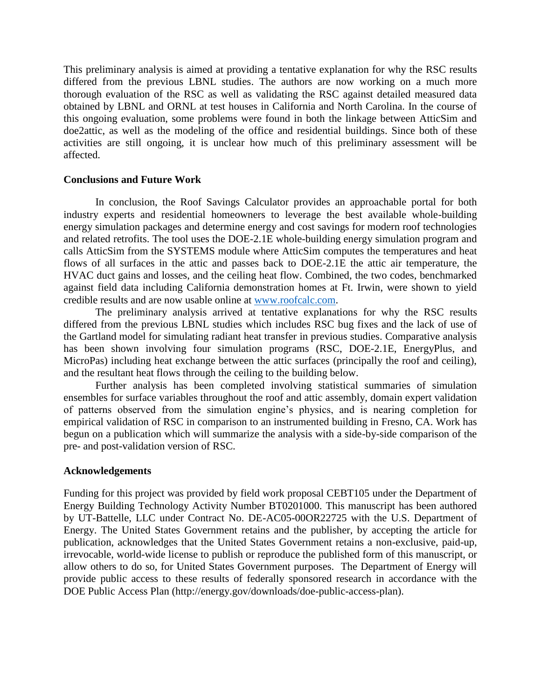This preliminary analysis is aimed at providing a tentative explanation for why the RSC results differed from the previous LBNL studies. The authors are now working on a much more thorough evaluation of the RSC as well as validating the RSC against detailed measured data obtained by LBNL and ORNL at test houses in California and North Carolina. In the course of this ongoing evaluation, some problems were found in both the linkage between AtticSim and doe2attic, as well as the modeling of the office and residential buildings. Since both of these activities are still ongoing, it is unclear how much of this preliminary assessment will be affected.

### **Conclusions and Future Work**

In conclusion, the Roof Savings Calculator provides an approachable portal for both industry experts and residential homeowners to leverage the best available whole-building energy simulation packages and determine energy and cost savings for modern roof technologies and related retrofits. The tool uses the DOE-2.1E whole-building energy simulation program and calls AtticSim from the SYSTEMS module where AtticSim computes the temperatures and heat flows of all surfaces in the attic and passes back to DOE-2.1E the attic air temperature, the HVAC duct gains and losses, and the ceiling heat flow. Combined, the two codes, benchmarked against field data including California demonstration homes at Ft. Irwin, were shown to yield credible results and are now usable online at [www.roofcalc.com.](http://www.roofcalc.com/)

The preliminary analysis arrived at tentative explanations for why the RSC results differed from the previous LBNL studies which includes RSC bug fixes and the lack of use of the Gartland model for simulating radiant heat transfer in previous studies. Comparative analysis has been shown involving four simulation programs (RSC, DOE-2.1E, EnergyPlus, and MicroPas) including heat exchange between the attic surfaces (principally the roof and ceiling), and the resultant heat flows through the ceiling to the building below.

Further analysis has been completed involving statistical summaries of simulation ensembles for surface variables throughout the roof and attic assembly, domain expert validation of patterns observed from the simulation engine's physics, and is nearing completion for empirical validation of RSC in comparison to an instrumented building in Fresno, CA. Work has begun on a publication which will summarize the analysis with a side-by-side comparison of the pre- and post-validation version of RSC.

### **Acknowledgements**

Funding for this project was provided by field work proposal CEBT105 under the Department of Energy Building Technology Activity Number BT0201000. This manuscript has been authored by UT-Battelle, LLC under Contract No. DE-AC05-00OR22725 with the U.S. Department of Energy. The United States Government retains and the publisher, by accepting the article for publication, acknowledges that the United States Government retains a non-exclusive, paid-up, irrevocable, world-wide license to publish or reproduce the published form of this manuscript, or allow others to do so, for United States Government purposes. The Department of Energy will provide public access to these results of federally sponsored research in accordance with the DOE Public Access Plan (http://energy.gov/downloads/doe-public-access-plan).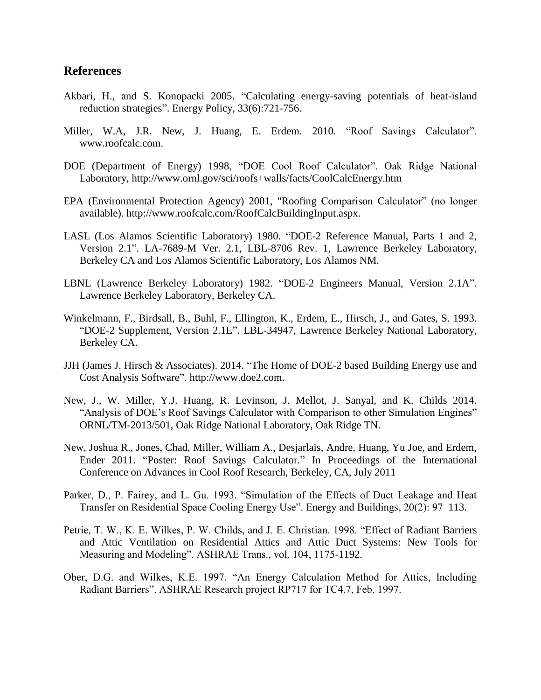# **References**

- Akbari, H., and S. Konopacki 2005. "Calculating energy-saving potentials of heat-island reduction strategies". Energy Policy, 33(6):721-756.
- Miller, W.A, J.R. New, J. Huang, E. Erdem. 2010. "Roof Savings Calculator". www.roofcalc.com.
- DOE (Department of Energy) 1998, "DOE Cool Roof Calculator". Oak Ridge National Laboratory, http://www.ornl.gov/sci/roofs+walls/facts/CoolCalcEnergy.htm
- EPA (Environmental Protection Agency) 2001, "Roofing Comparison Calculator" (no longer available). http://www.roofcalc.com/RoofCalcBuildingInput.aspx.
- LASL (Los Alamos Scientific Laboratory) 1980. "DOE-2 Reference Manual, Parts 1 and 2, Version 2.1". LA-7689-M Ver. 2.1, LBL-8706 Rev. 1, Lawrence Berkeley Laboratory, Berkeley CA and Los Alamos Scientific Laboratory, Los Alamos NM.
- LBNL (Lawrence Berkeley Laboratory) 1982. "DOE-2 Engineers Manual, Version 2.1A". Lawrence Berkeley Laboratory, Berkeley CA.
- Winkelmann, F., Birdsall, B., Buhl, F., Ellington, K., Erdem, E., Hirsch, J., and Gates, S. 1993. "DOE-2 Supplement, Version 2.1E". LBL-34947, Lawrence Berkeley National Laboratory, Berkeley CA.
- JJH (James J. Hirsch & Associates). 2014. "The Home of DOE-2 based Building Energy use and Cost Analysis Software". http://www.doe2.com.
- New, J., W. Miller, Y.J. Huang, R. Levinson, J. Mellot, J. Sanyal, and K. Childs 2014. "Analysis of DOE's Roof Savings Calculator with Comparison to other Simulation Engines" ORNL/TM-2013/501, Oak Ridge National Laboratory, Oak Ridge TN.
- New, Joshua R., Jones, Chad, Miller, William A., Desjarlais, Andre, Huang, Yu Joe, and Erdem, Ender 2011. "Poster: Roof Savings Calculator." In Proceedings of the International Conference on Advances in Cool Roof Research, Berkeley, CA, July 2011
- Parker, D., P. Fairey, and L. Gu. 1993. "Simulation of the Effects of Duct Leakage and Heat Transfer on Residential Space Cooling Energy Use". Energy and Buildings, 20(2): 97–113.
- Petrie, T. W., K. E. Wilkes, P. W. Childs, and J. E. Christian. 1998. "Effect of Radiant Barriers and Attic Ventilation on Residential Attics and Attic Duct Systems: New Tools for Measuring and Modeling". ASHRAE Trans., vol. 104, 1175-1192.
- Ober, D.G. and Wilkes, K.E. 1997. "An Energy Calculation Method for Attics, Including Radiant Barriers". ASHRAE Research project RP717 for TC4.7, Feb. 1997.